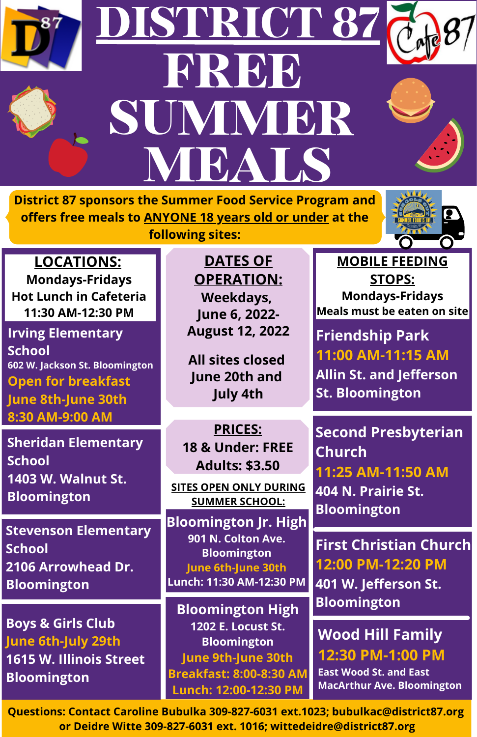

## **DISTRICT 87 FREE SUMMER MEALS**





**District 87 sponsors the Summer Food Service Program and offers free meals to ANYONE 18 years old or under at the**



**LOCATIONS: Mondays-Fridays Hot Lunch in Cafeteria 11:30 AM-12:30 PM**

**Irving Elementary School 602 W. Jackson St. Bloomington Open for breakfast June 8th-June 30th 8:30 AM-9:00 AM**

**Sheridan Elementary School 1403 W. Walnut St. Bloomington**

**Stevenson Elementary School 2106 Arrowhead Dr. Bloomington**

**Boys & Girls Club June 6th-July 29th 1615 W. Illinois Street Bloomington**

**following sites:**

**DATES OF OPERATION: Weekdays, June 6, 2022- August 12, 2022**

**All sites closed June 20th and July 4th**

**PRICES: 18 & Under: FREE Adults: \$3.50**

**SITES OPEN ONLY DURING SUMMER SCHOOL:**

**Bloomington Jr. High 901 N. Colton Ave. Bloomington June 6th-June 30th Lunch: 11:30 AM-12:30 PM**

**Bloomington High 1202 E. Locust St. Bloomington June 9th-June 30th Breakfast: 8:00-8:30 AM Lunch: 12:00-12:30 PM**

**MOBILE FEEDING STOPS: Mondays-Fridays Meals must be eaten on site**

**Friendship Park 11:00 AM-11:15 AM Allin St. and Jefferson St. Bloomington**

**Second Presbyterian Church 11:25 AM-11:50 AM 404 N. Prairie St. Bloomington**

**First Christian Church 12:00 PM-12:20 PM 401 W. Jefferson St. Bloomington**

**Wood Hill Family 12:30 PM-1:00 PM East Wood St. and East MacArthur Ave. Bloomington**

**Questions: Contact Caroline Bubulka 309-827-6031 ext.1023; bubulkac@district87.org or Deidre Witte 309-827-6031 ext. 1016; wittedeidre@district87.org**